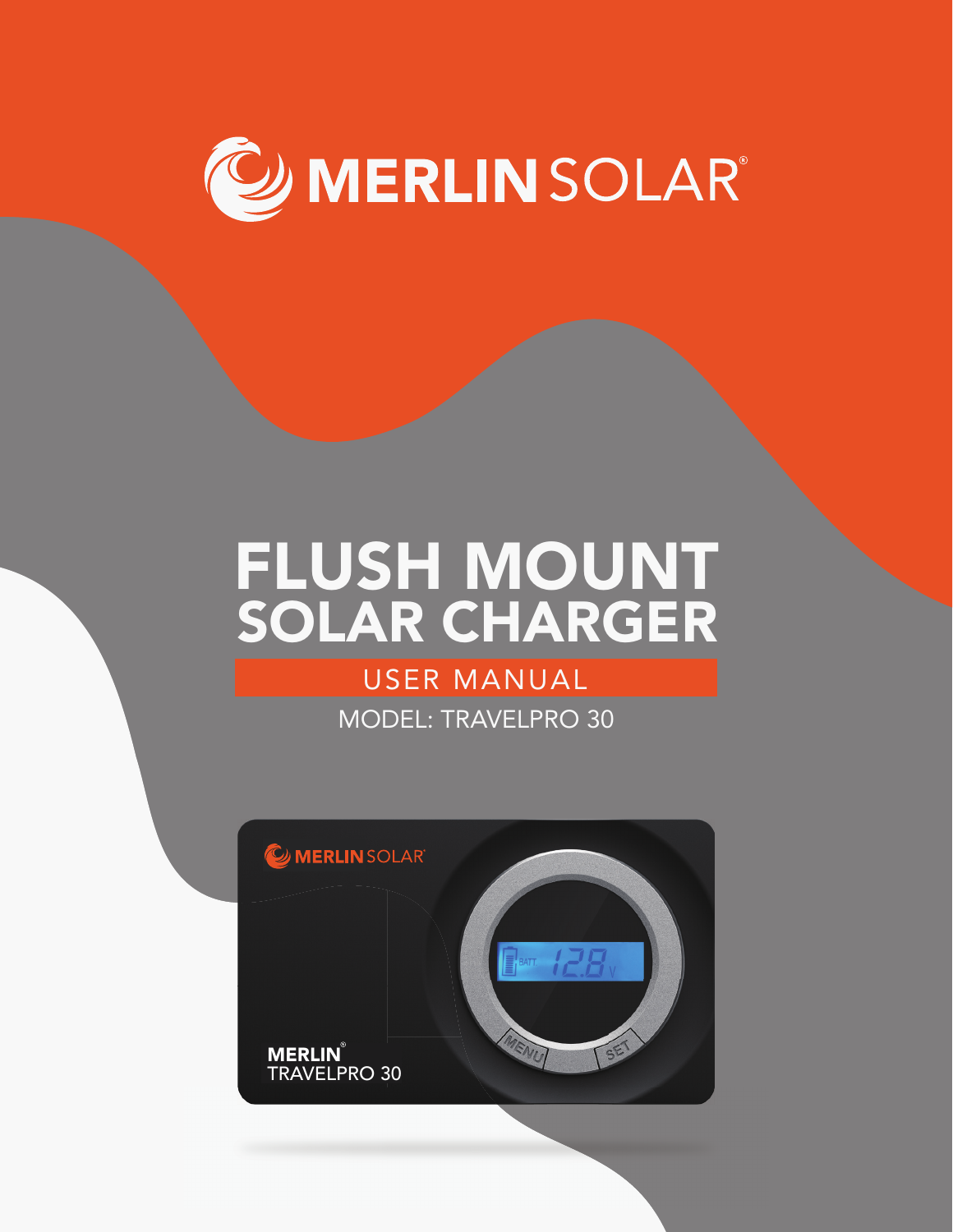

# FLUSH MOUNT SOLAR CHARGER

## USER MANUAL

MODEL: TRAVELPRO 30

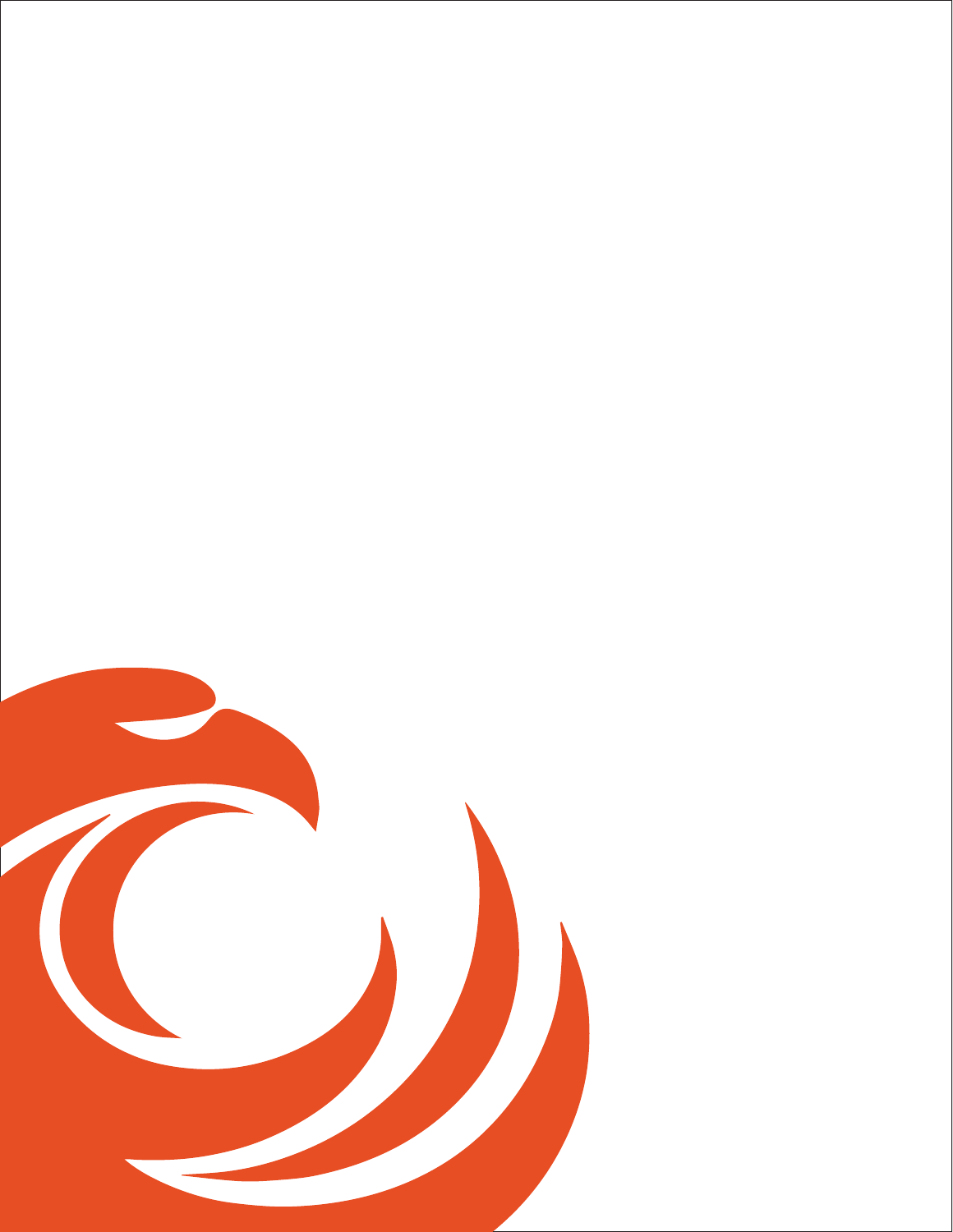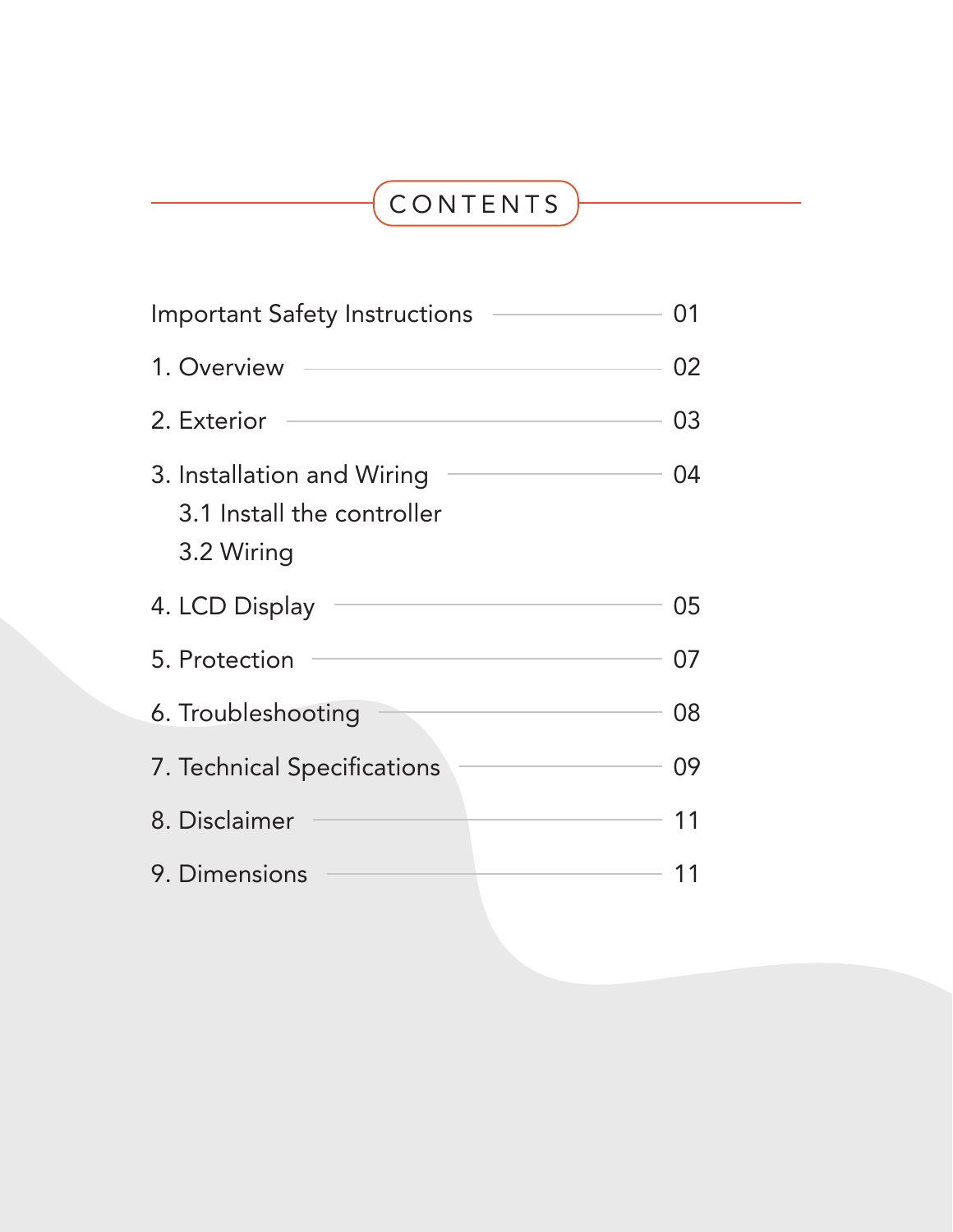## CONTENTS

| <b>Important Safety Instructions</b>                                   |    |
|------------------------------------------------------------------------|----|
| 1. Overview                                                            | 02 |
| 2. Exterior                                                            | 03 |
| 3. Installation and Wiring<br>3.1 Install the controller<br>3.2 Wiring | 04 |
| 4. LCD Display                                                         | 05 |
| 5. Protection                                                          | 07 |
| 6. Troubleshooting                                                     | 08 |
| 7. Technical Specifications                                            | 09 |
| 8. Disclaimer                                                          | 11 |
| 9. Dimensions                                                          |    |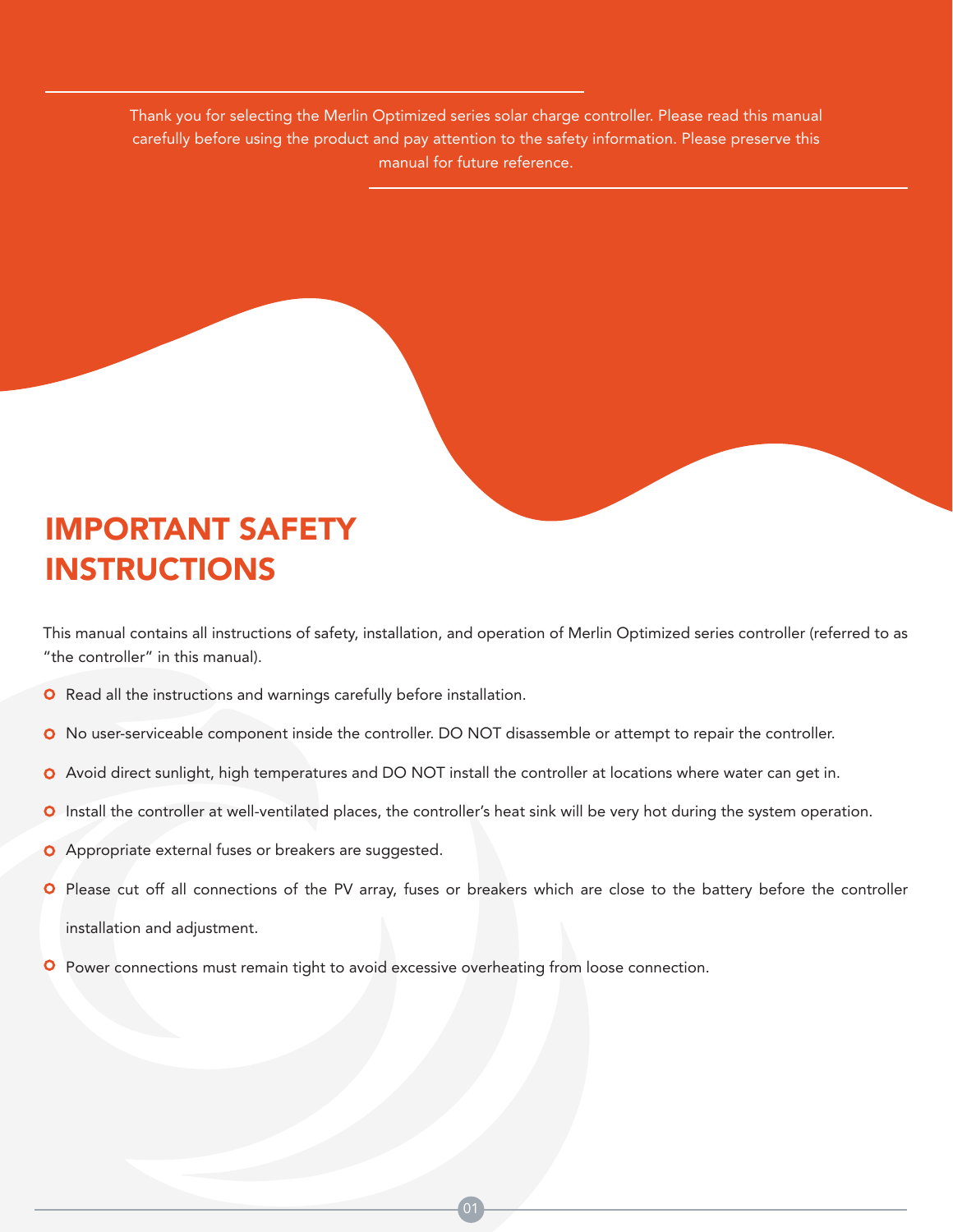Thank you for selecting the Merlin Optimized series solar charge controller. Please read this manual carefully before using the product and pay attention to the safety information. Please preserve this manual for future reference.

## IMPORTANT SAFETY INSTRUCTIONS

This manual contains all instructions of safety, installation, and operation of Merlin Optimized series controller (referred to as "the controller" in this manual).

- **O** Read all the instructions and warnings carefully before installation.
- No user-serviceable component inside the controller. DO NOT disassemble or attempt to repair the controller.
- Avoid direct sunlight, high temperatures and DO NOT install the controller at locations where water can get in.  $\bullet$
- **O** Install the controller at well-ventilated places, the controller's heat sink will be very hot during the system operation.
- **O** Appropriate external fuses or breakers are suggested.
- O Please cut off all connections of the PV array, fuses or breakers which are close to the battery before the controller installation and adjustment.

01

**O** Power connections must remain tight to avoid excessive overheating from loose connection.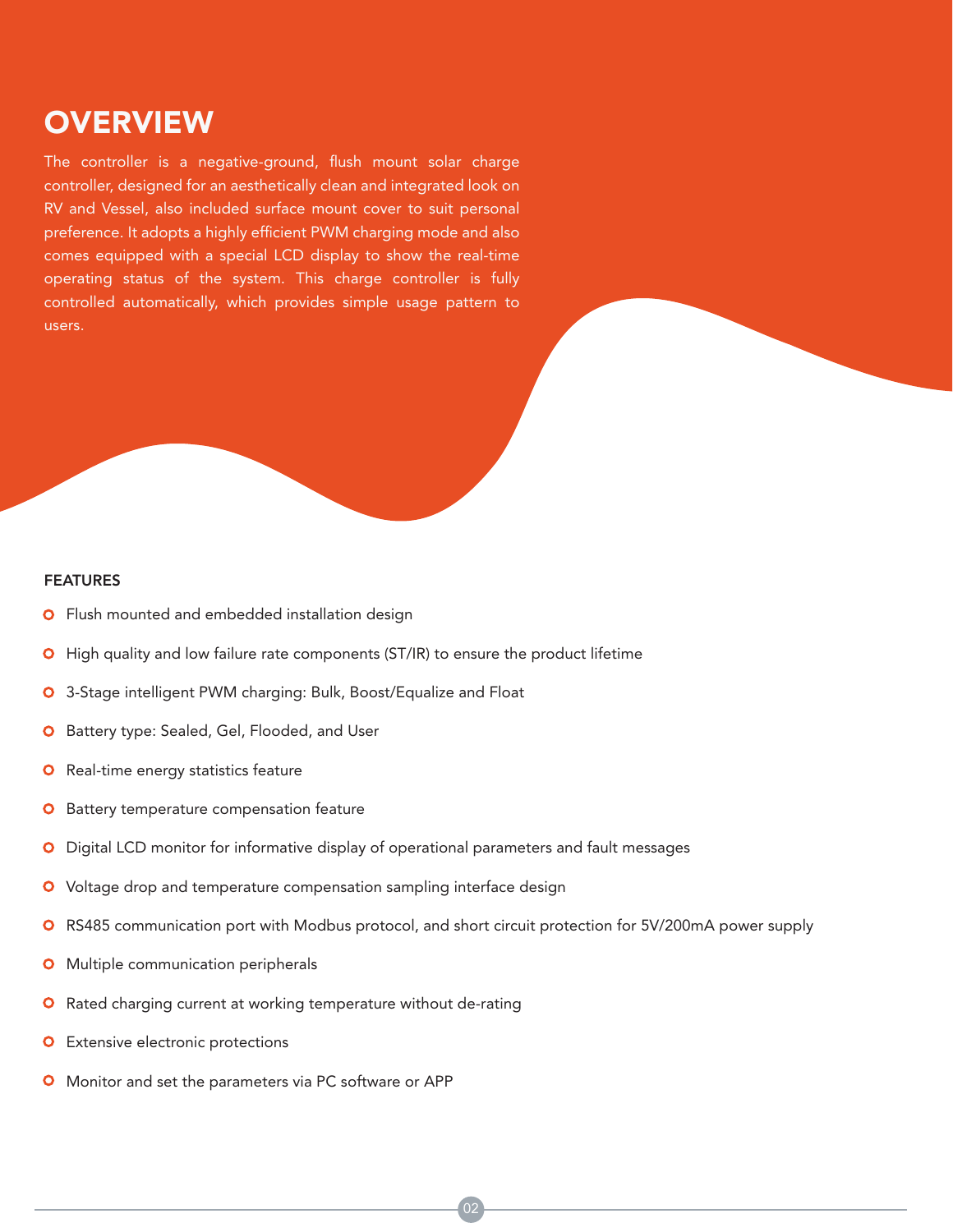## **OVERVIEW**

The controller is a negative-ground, flush mount solar charge controller, designed for an aesthetically clean and integrated look on RV and Vessel, also included surface mount cover to suit personal preference. It adopts a highly efficient PWM charging mode and also comes equipped with a special LCD display to show the real-time operating status of the system. This charge controller is fully controlled automatically, which provides simple usage pattern to users.

#### FEATURES

- Flush mounted and embedded installation design  $\bullet$
- High quality and low failure rate components (ST/IR) to ensure the product lifetime  $\mathbf{\circ}$
- 3-Stage intelligent PWM charging: Bulk, Boost/Equalize and Float  $\bullet$
- Battery type: Sealed, Gel, Flooded, and User  $\mathbf{o}$
- Real-time energy statistics feature  $\mathbf{\Omega}$
- Battery temperature compensation feature  $\mathbf{\circ}$
- Digital LCD monitor for informative display of operational parameters and fault messages  $\circ$
- $\bullet$ Voltage drop and temperature compensation sampling interface design
- RS485 communication port with Modbus protocol, and short circuit protection for 5V/200mA power supply  $\bullet$
- Multiple communication peripherals  $\bullet$
- $\bullet$ Rated charging current at working temperature without de-rating
- $\circ$ Extensive electronic protections
- Monitor and set the parameters via PC software or APP O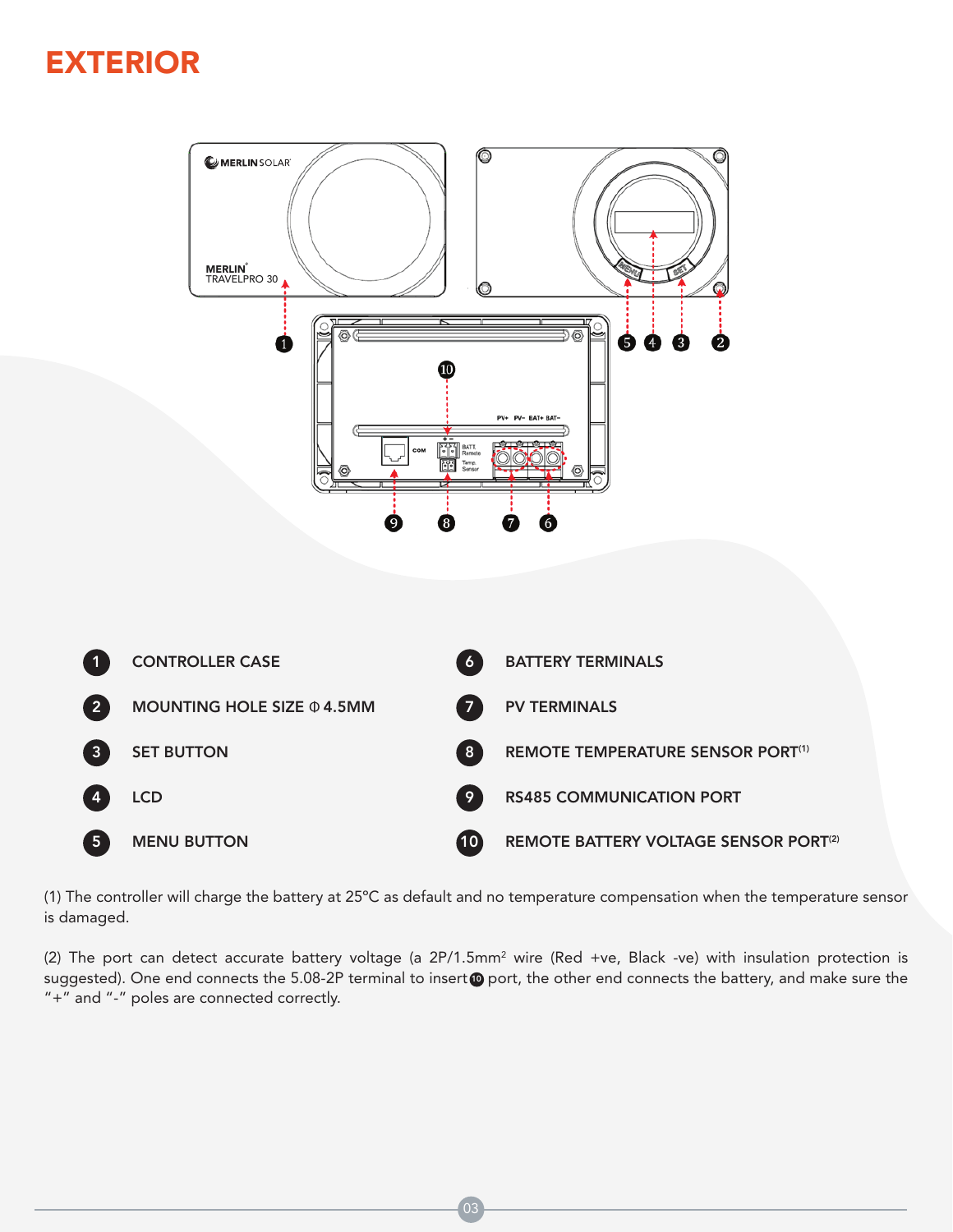## EXTERIOR



(1) The controller will charge the battery at 25ºC as default and no temperature compensation when the temperature sensor is damaged.

(2) The port can detect accurate battery voltage (a 2P/1.5mm<sup>2</sup> wire (Red +ve, Black -ve) with insulation protection is suggested). One end connects the 5.08-2P terminal to insert@port, the other end connects the battery, and make sure the "+" and "-" poles are connected correctly.

03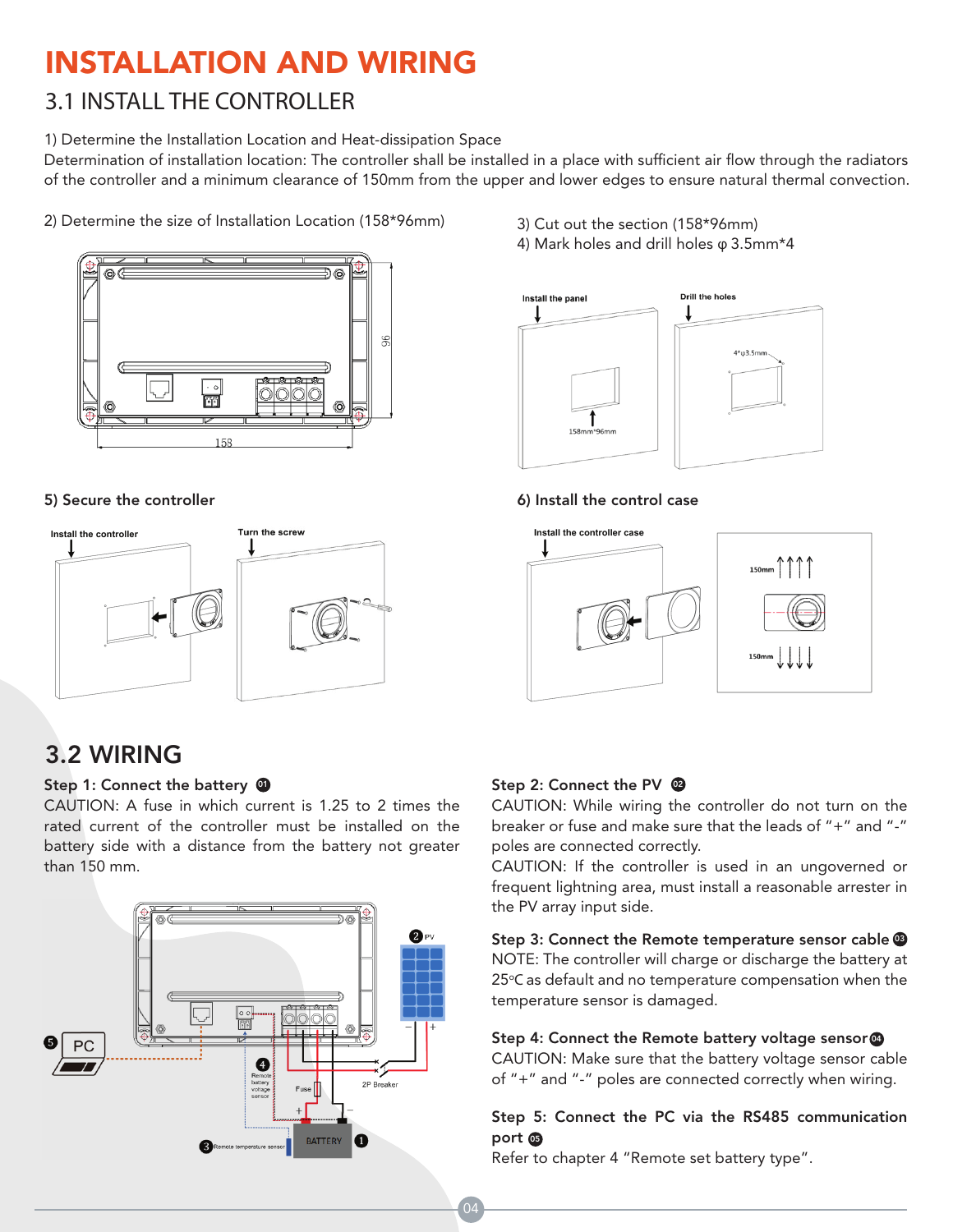## INSTALLATION AND WIRING

#### 3.1 INSTALL THE CONTROLLER

1) Determine the Installation Location and Heat-dissipation Space

Determination of installation location: The controller shall be installed in a place with sufficient air flow through the radiators of the controller and a minimum clearance of 150mm from the upper and lower edges to ensure natural thermal convection.

2) Determine the size of Installation Location (158\*96mm)





3) Cut out the section (158\*96mm) 4) Mark holes and drill holes φ 3.5mm\*4



5) Secure the controller 6) Install the control case



#### 3.2 WIRING

#### Step 1: Connect the battery  $\mathbf 0$

CAUTION: A fuse in which current is 1.25 to 2 times the rated current of the controller must be installed on the battery side with a distance from the battery not greater than 150 mm.



#### **01** Step 2: Connect the PV  $\bullet$

CAUTION: While wiring the controller do not turn on the breaker or fuse and make sure that the leads of "+" and "-" poles are connected correctly.

CAUTION: If the controller is used in an ungoverned or frequent lightning area, must install a reasonable arrester in the PV array input side.

Step 3: Connect the Remote temperature sensor cable <sup>@</sup> NOTE: The controller will charge or discharge the battery at 25℃ as default and no temperature compensation when the temperature sensor is damaged.

#### Step 4: Connect the Remote battery voltage sensor $\bullet$

CAUTION: Make sure that the battery voltage sensor cable of "+" and "-" poles are connected correctly when wiring.

#### port ® Step 5: Connect the PC via the RS485 communication

Refer to chapter 4 "Remote set battery type".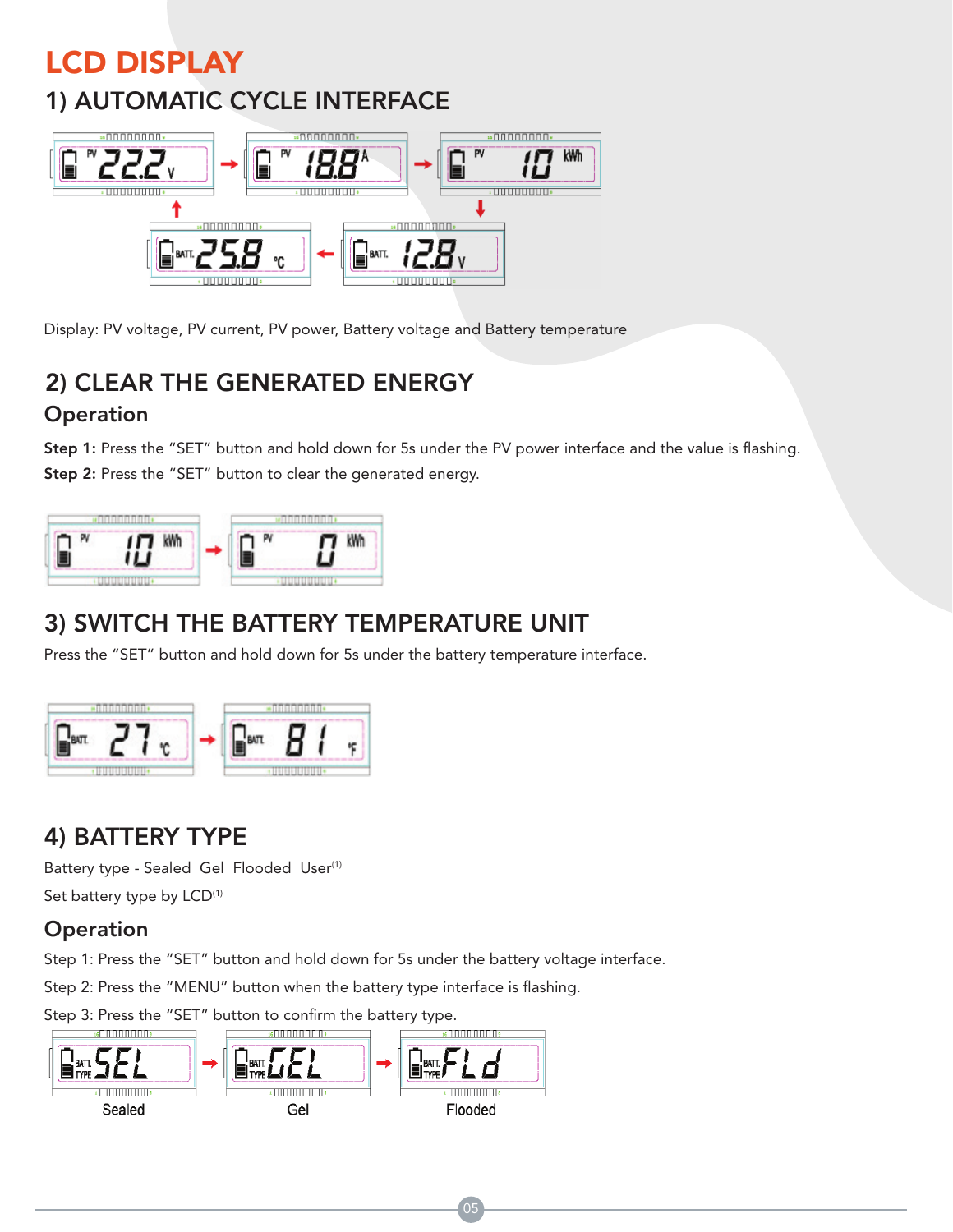### LCD DISPLAY 1) AUTOMATIC CYCLE INTERFACE



Display: PV voltage, PV current, PV power, Battery voltage and Battery temperature

#### 2) CLEAR THE GENERATED ENERGY **Operation**

Step 1: Press the "SET" button and hold down for 5s under the PV power interface and the value is flashing. Step 2: Press the "SET" button to clear the generated energy.



### 3) SWITCH THE BATTERY TEMPERATURE UNIT

Press the "SET" button and hold down for 5s under the battery temperature interface.



#### 4) BATTERY TYPE

Battery type - Sealed Gel Flooded User<sup>(1)</sup>

Set battery type by LCD<sup>(1)</sup>

#### **Operation**

Step 1: Press the "SET" button and hold down for 5s under the battery voltage interface.

 $O<sub>5</sub>$ 

Step 2: Press the "MENU" button when the battery type interface is flashing.

Step 3: Press the "SET" button to confirm the battery type.

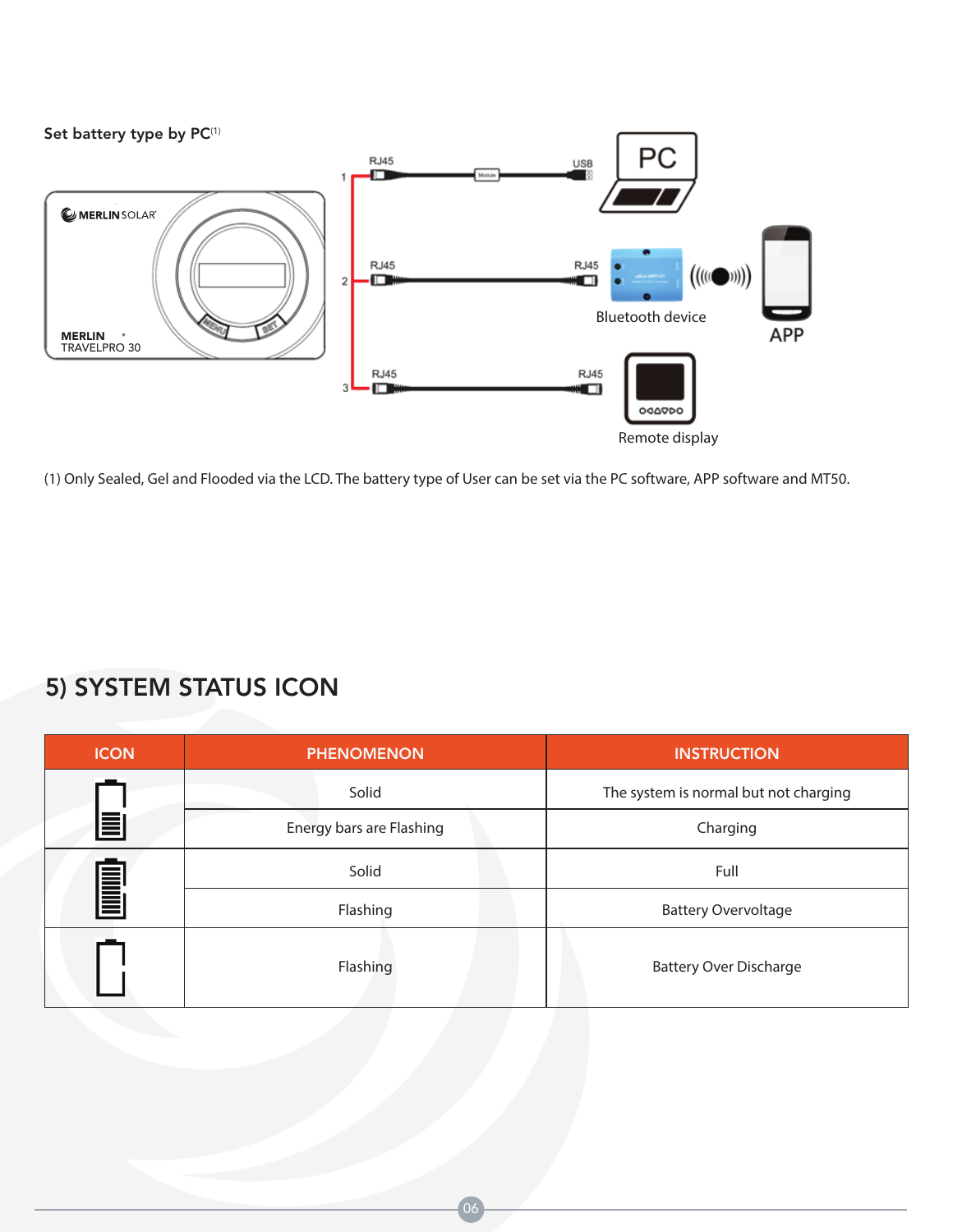

(1) Only Sealed, Gel and Flooded via the LCD. The battery type of User can be set via the PC software, APP software and MT50.

#### 5) SYSTEM STATUS ICON

| <b>ICON</b>   | <b>PHENOMENON</b>        | <b>INSTRUCTION</b>                    |  |  |
|---------------|--------------------------|---------------------------------------|--|--|
| Solid         |                          | The system is normal but not charging |  |  |
|               | Energy bars are Flashing | Charging                              |  |  |
| <u>ilinia</u> | Solid                    | Full                                  |  |  |
|               | Flashing                 | <b>Battery Overvoltage</b>            |  |  |
|               | Flashing                 | <b>Battery Over Discharge</b>         |  |  |

06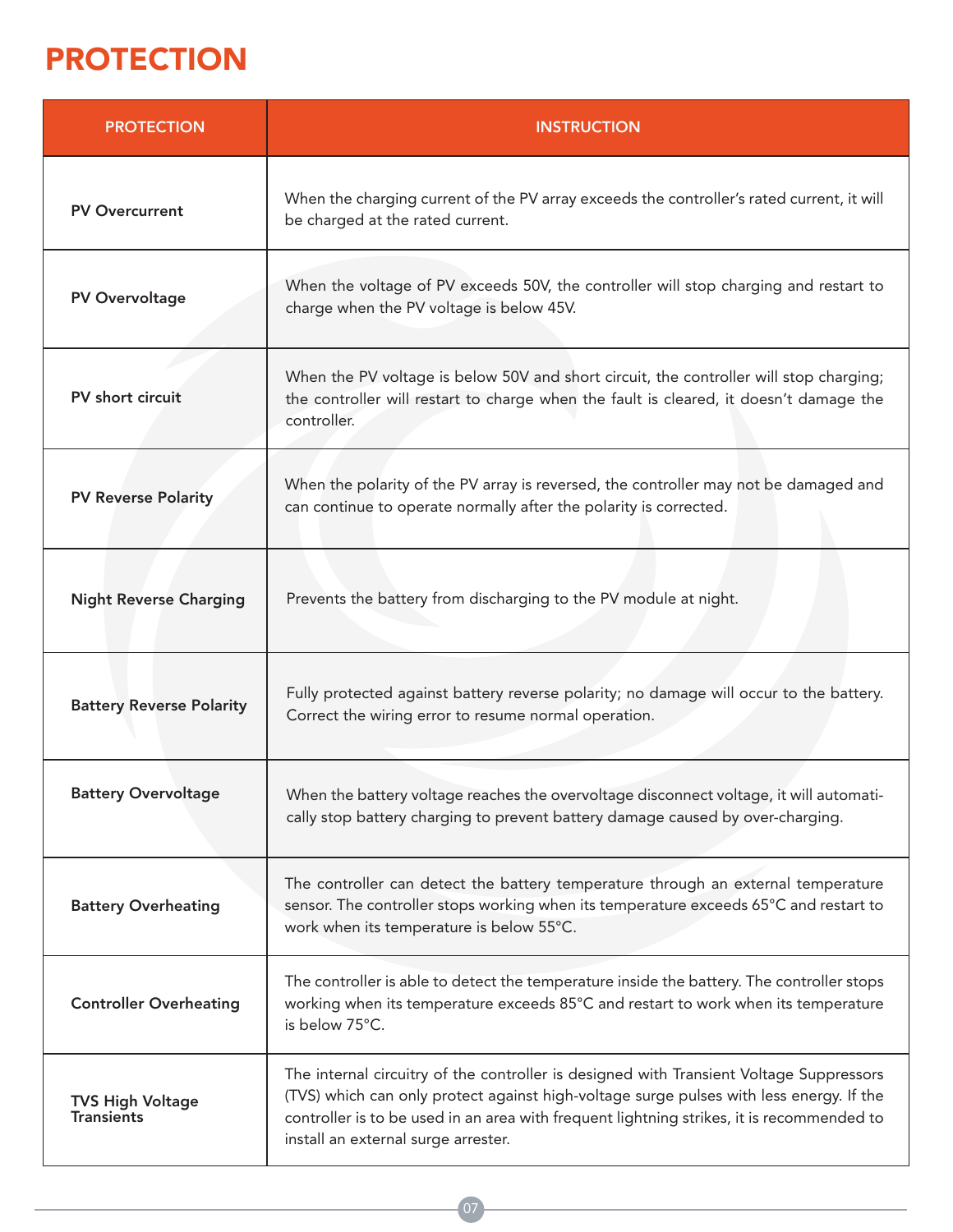## **PROTECTION**

| <b>PROTECTION</b>                            | <b>INSTRUCTION</b>                                                                                                                                                                                                                                                                                                     |
|----------------------------------------------|------------------------------------------------------------------------------------------------------------------------------------------------------------------------------------------------------------------------------------------------------------------------------------------------------------------------|
| <b>PV Overcurrent</b>                        | When the charging current of the PV array exceeds the controller's rated current, it will<br>be charged at the rated current.                                                                                                                                                                                          |
| <b>PV Overvoltage</b>                        | When the voltage of PV exceeds 50V, the controller will stop charging and restart to<br>charge when the PV voltage is below 45V.                                                                                                                                                                                       |
| PV short circuit                             | When the PV voltage is below 50V and short circuit, the controller will stop charging;<br>the controller will restart to charge when the fault is cleared, it doesn't damage the<br>controller.                                                                                                                        |
| <b>PV Reverse Polarity</b>                   | When the polarity of the PV array is reversed, the controller may not be damaged and<br>can continue to operate normally after the polarity is corrected.                                                                                                                                                              |
| <b>Night Reverse Charging</b>                | Prevents the battery from discharging to the PV module at night.                                                                                                                                                                                                                                                       |
| <b>Battery Reverse Polarity</b>              | Fully protected against battery reverse polarity; no damage will occur to the battery.<br>Correct the wiring error to resume normal operation.                                                                                                                                                                         |
| <b>Battery Overvoltage</b>                   | When the battery voltage reaches the overvoltage disconnect voltage, it will automati-<br>cally stop battery charging to prevent battery damage caused by over-charging.                                                                                                                                               |
| <b>Battery Overheating</b>                   | The controller can detect the battery temperature through an external temperature<br>sensor. The controller stops working when its temperature exceeds 65°C and restart to<br>work when its temperature is below 55°C.                                                                                                 |
| <b>Controller Overheating</b>                | The controller is able to detect the temperature inside the battery. The controller stops<br>working when its temperature exceeds 85°C and restart to work when its temperature<br>is below 75°C.                                                                                                                      |
| <b>TVS High Voltage</b><br><b>Transients</b> | The internal circuitry of the controller is designed with Transient Voltage Suppressors<br>(TVS) which can only protect against high-voltage surge pulses with less energy. If the<br>controller is to be used in an area with frequent lightning strikes, it is recommended to<br>install an external surge arrester. |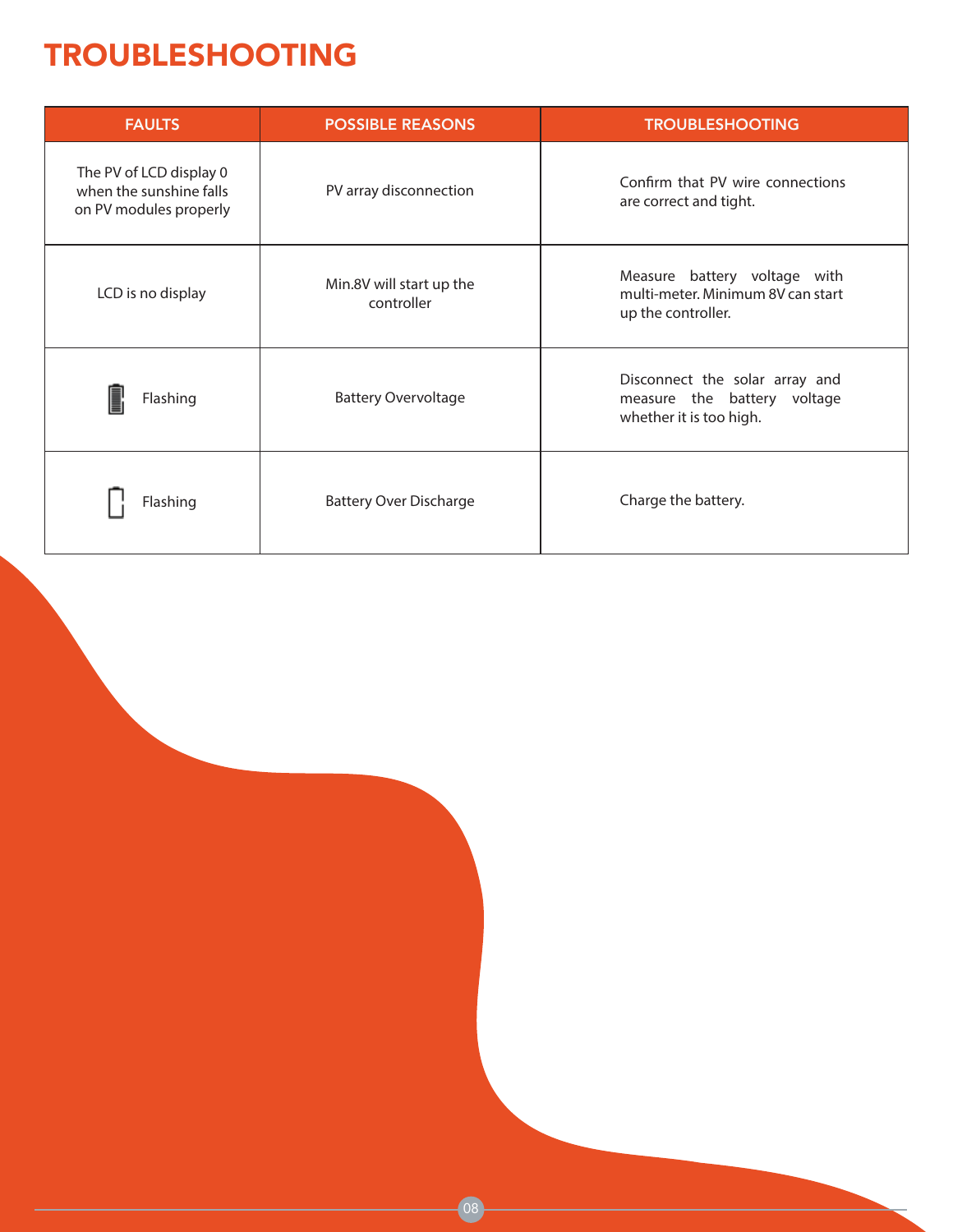## TROUBLESHOOTING

| <b>FAULTS</b>                                                                                          | <b>POSSIBLE REASONS</b>       | <b>TROUBLESHOOTING</b>                                                                   |  |  |
|--------------------------------------------------------------------------------------------------------|-------------------------------|------------------------------------------------------------------------------------------|--|--|
| The PV of LCD display 0<br>when the sunshine falls<br>PV array disconnection<br>on PV modules properly |                               | Confirm that PV wire connections<br>are correct and tight.                               |  |  |
| Min.8V will start up the<br>LCD is no display<br>controller                                            |                               | Measure battery voltage with<br>multi-meter. Minimum 8V can start<br>up the controller.  |  |  |
| Flashing                                                                                               | <b>Battery Overvoltage</b>    | Disconnect the solar array and<br>measure the battery voltage<br>whether it is too high. |  |  |
| Flashing                                                                                               | <b>Battery Over Discharge</b> | Charge the battery.                                                                      |  |  |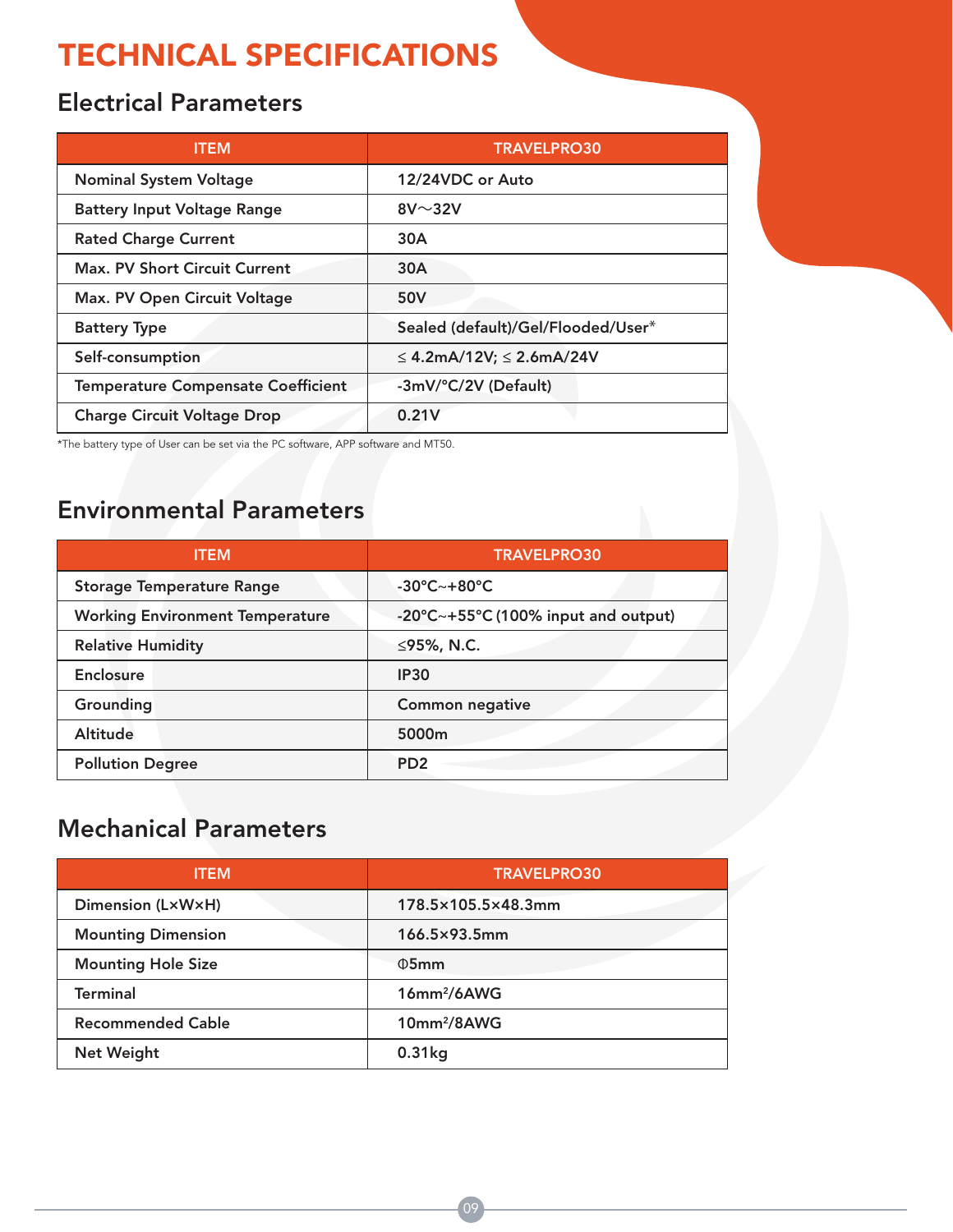## TECHNICAL SPECIFICATIONS

### Electrical Parameters

| <b>ITEM</b>                               | <b>TRAVELPRO30</b>                 |  |  |
|-------------------------------------------|------------------------------------|--|--|
| <b>Nominal System Voltage</b>             | 12/24VDC or Auto                   |  |  |
| <b>Battery Input Voltage Range</b>        | $8V \sim 32V$                      |  |  |
| <b>Rated Charge Current</b>               | 30A                                |  |  |
| <b>Max. PV Short Circuit Current</b>      | 30A                                |  |  |
| Max. PV Open Circuit Voltage              | <b>50V</b>                         |  |  |
| <b>Battery Type</b>                       | Sealed (default)/Gel/Flooded/User* |  |  |
| Self-consumption                          | ≤ 4.2mA/12V; ≤ 2.6mA/24V           |  |  |
| <b>Temperature Compensate Coefficient</b> | -3mV/°C/2V (Default)               |  |  |
| <b>Charge Circuit Voltage Drop</b>        | 0.21V                              |  |  |

\*The battery type of User can be set via the PC software, APP software and MT50.

#### Environmental Parameters

| <b>ITEM</b>                            | <b>TRAVELPRO30</b>                      |  |
|----------------------------------------|-----------------------------------------|--|
| <b>Storage Temperature Range</b>       | $-30^{\circ}$ C $\sim$ +80 $^{\circ}$ C |  |
| <b>Working Environment Temperature</b> | -20°C~+55°C (100% input and output)     |  |
| <b>Relative Humidity</b>               | ≤95%, N.C.                              |  |
| <b>Enclosure</b>                       | <b>IP30</b>                             |  |
| Grounding                              | <b>Common negative</b>                  |  |
| <b>Altitude</b>                        | 5000 <sub>m</sub>                       |  |
| <b>Pollution Degree</b>                | PD <sub>2</sub>                         |  |

### Mechanical Parameters

| ITEM                      | <b>TRAVELPRO30</b>      |
|---------------------------|-------------------------|
| Dimension (L×W×H)         | 178.5×105.5×48.3mm      |
| <b>Mounting Dimension</b> | $166.5 \times 93.5$ mm  |
| <b>Mounting Hole Size</b> | $\Phi$ 5mm              |
| <b>Terminal</b>           | 16mm <sup>2</sup> /6AWG |
| <b>Recommended Cable</b>  | 10mm <sup>2</sup> /8AWG |
| <b>Net Weight</b>         | 0.31kg                  |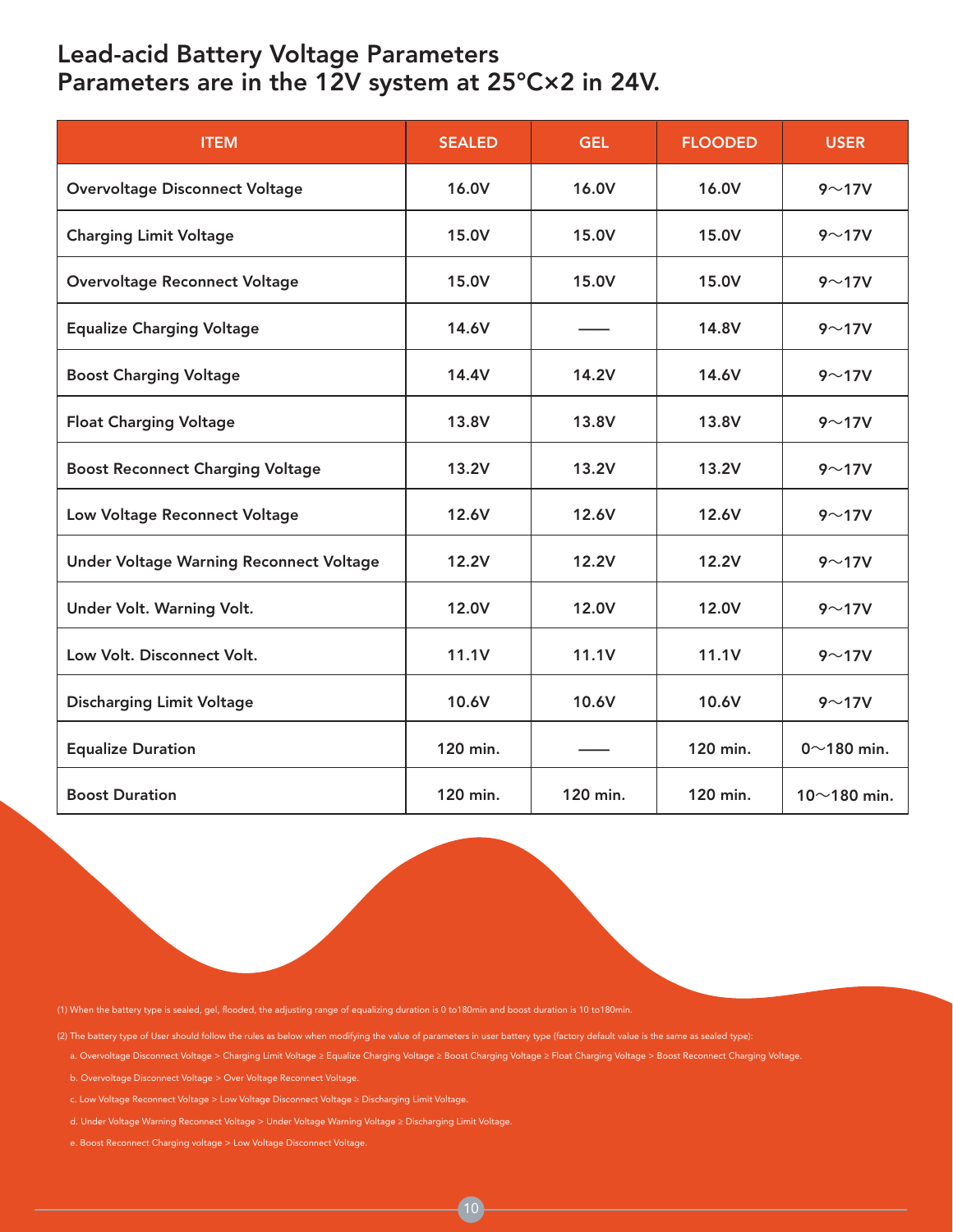#### Lead-acid Battery Voltage Parameters Parameters are in the 12V system at 25°C×2 in 24V.

| <b>ITEM</b>                             | <b>SEALED</b> | <b>GEL</b>   | <b>FLOODED</b> | <b>USER</b>       |
|-----------------------------------------|---------------|--------------|----------------|-------------------|
| <b>Overvoltage Disconnect Voltage</b>   | 16.0V         | 16.0V        | 16.0V          | $9^{\sim}$ 17V    |
| <b>Charging Limit Voltage</b>           | 15.0V         | 15.0V        | 15.0V          | $9^{\sim}$ 17V    |
| Overvoltage Reconnect Voltage           | 15.0V         | 15.0V        | 15.0V          | $9^{\sim}$ 17V    |
| <b>Equalize Charging Voltage</b>        | 14.6V         |              | 14.8V          | $9^{\sim}$ 17V    |
| <b>Boost Charging Voltage</b>           | 14.4V         | 14.2V        | 14.6V          | $9^{\sim}$ 17V    |
| <b>Float Charging Voltage</b>           | 13.8V         | 13.8V        | 13.8V          | $9^{\sim}17V$     |
| <b>Boost Reconnect Charging Voltage</b> | 13.2V         | 13.2V        | 13.2V          | $9^{\sim}$ 17V    |
| Low Voltage Reconnect Voltage           | 12.6V         | 12.6V        | 12.6V          | $9^{\sim}17V$     |
| Under Voltage Warning Reconnect Voltage | <b>12.2V</b>  | <b>12.2V</b> | <b>12.2V</b>   | $9^{\sim}$ 17V    |
| Under Volt. Warning Volt.               | 12.0V         | 12.0V        | 12.0V          | $9^{\sim}$ 17V    |
| Low Volt. Disconnect Volt.              | 11.1V         | 11.1V        | 11.1V          | $9^{\sim}$ 17V    |
| <b>Discharging Limit Voltage</b>        | 10.6V         | 10.6V        | 10.6V          | $9^{\sim}$ 17V    |
| <b>Equalize Duration</b>                | 120 min.      |              | 120 min.       | 0 $\sim$ 180 min. |
| <b>Boost Duration</b>                   | 120 min.      | 120 min.     | 120 min.       | $10 - 180$ min.   |

(1) When the battery type is sealed, gel, flooded, the adjusting range of equalizing duration is 0 to180min and boost duration is 10 to180min.

(2) The battery type of User should follow the rules as below when modifying the value of parameters in user battery type (factory default value is the same as sealed type):

- a. Overvoltage Disconnect Voltage > Charging Limit Voltage ≥ Equalize Charging Voltage ≥ Boost Charging Voltage ≥ Float Charging Voltage > Boost Reconnect Charging Voltage.
- b. Overvoltage Disconnect Voltage > Over Voltage Reconnect Voltage.
- c. Low Voltage Reconnect Voltage > Low Voltage Disconnect Voltage ≥ Discharging Limit Voltage.
- d. Under Voltage Warning Reconnect Voltage > Under Voltage Warning Voltage ≥ Discharging Limit Voltage.
- e. Boost Reconnect Charging voltage > Low Voltage Disconnect Voltage.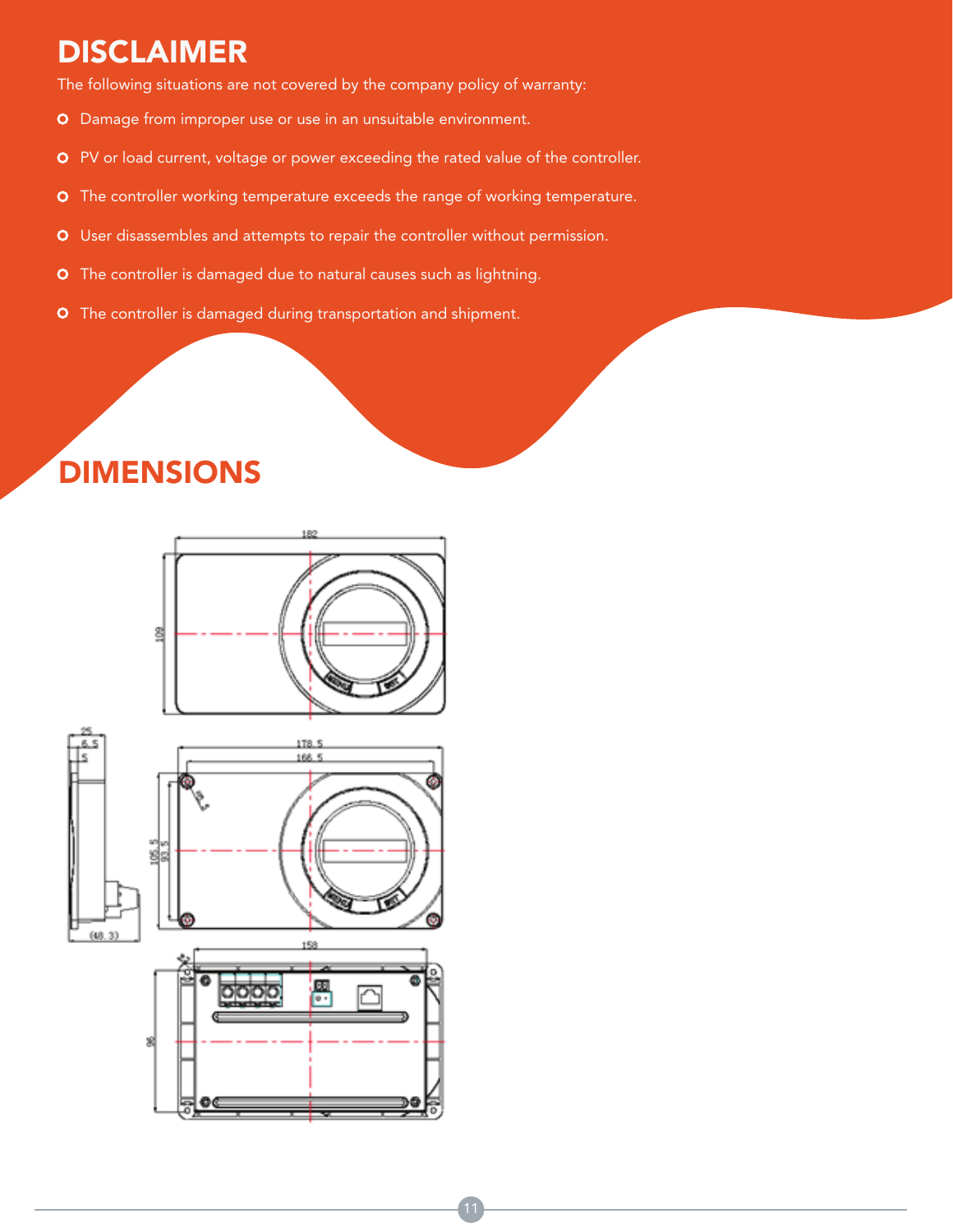## 8. DISCLAIMER DISCLAIMER

The following situations are not covered by the company policy of warranty:

- **O** Damage from improper use or use in an unsuitable environment.
- **O** PV or load current, voltage or power exceeding the rated value of the controller.
- **O** The controller working temperature exceeds the range of working temperature.
- **O** User disassembles and attempts to repair the controller without permission.
- **O** The controller is damaged due to natural causes such as lightning.
- **O** The controller is damaged during transportation and shipment.

## DIMENSIONS